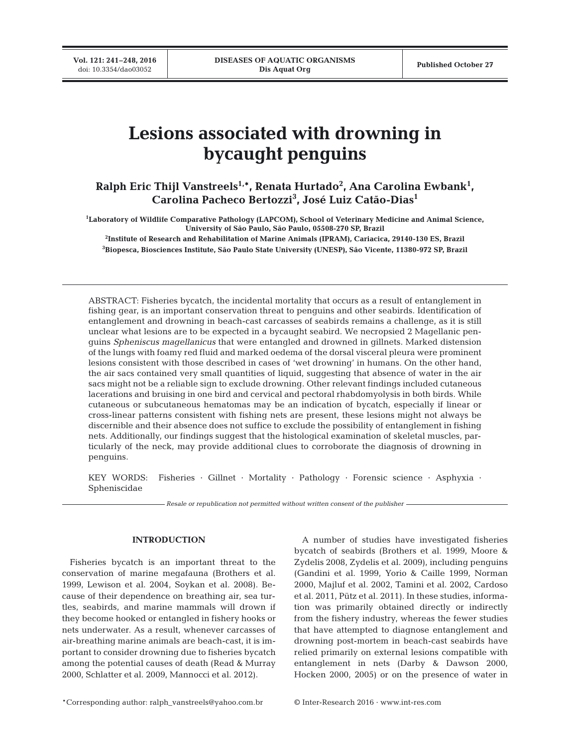# **Lesions associated with drowning in bycaught penguins**

**Ralph Eric Thijl Vanstreels1,\*, Renata Hurtado2 , Ana Carolina Ewbank1 , Carolina Pacheco Bertozzi3 , José Luiz Catão-Dias1**

**1 Laboratory of Wildlife Comparative Pathology (LAPCOM), School of Veterinary Medicine and Animal Science, University of São Paulo, São Paulo, 05508-270 SP, Brazil**

**2 Institute of Research and Rehabilitation of Marine Animals (IPRAM), Cariacica, 29140-130 ES, Brazil 3 Biopesca, Biosciences Institute, São Paulo State University (UNESP), São Vicente, 11380-972 SP, Brazil**

ABSTRACT: Fisheries bycatch, the incidental mortality that occurs as a result of entanglement in fishing gear, is an important conservation threat to penguins and other seabirds. Identification of entanglement and drowning in beach-cast carcasses of seabirds remains a challenge, as it is still unclear what lesions are to be expected in a bycaught seabird. We necropsied 2 Magellanic penguins *Spheniscus magellanicus* that were entangled and drowned in gillnets. Marked distension of the lungs with foamy red fluid and marked oedema of the dorsal visceral pleura were prominent lesions consistent with those described in cases of 'wet drowning' in humans. On the other hand, the air sacs contained very small quantities of liquid, suggesting that absence of water in the air sacs might not be a reliable sign to exclude drowning. Other relevant findings included cutaneous lacerations and bruising in one bird and cervical and pectoral rhabdomyolysis in both birds. While cutaneous or subcutaneous hematomas may be an indication of bycatch, especially if linear or cross-linear patterns consistent with fishing nets are present, these lesions might not always be discernible and their absence does not suffice to exclude the possibility of entanglement in fishing nets. Additionally, our findings suggest that the histological examination of skeletal muscles, particularly of the neck, may provide additional clues to corroborate the diagnosis of drowning in penguins.

KEY WORDS: Fisheries · Gillnet · Mortality · Pathology · Forensic science · Asphyxia · Spheniscidae

*Resale or republication not permitted without written consent of the publisher*

# **INTRODUCTION**

Fisheries bycatch is an important threat to the conservation of marine megafauna (Brothers et al. 1999, Lewison et al. 2004, Soykan et al. 2008). Because of their dependence on breathing air, sea turtles, seabirds, and marine mammals will drown if they become hooked or entangled in fishery hooks or nets underwater. As a result, whenever carcasses of air-breathing marine animals are beach-cast, it is important to consider drowning due to fisheries bycatch among the potential causes of death (Read & Murray 2000, Schlatter et al. 2009, Mannocci et al. 2012).

A number of studies have investigated fisheries bycatch of seabirds (Brothers et al. 1999, Moore & Zydelis 2008, Zydelis et al. 2009), including penguins (Gandini et al. 1999, Yorio & Caille 1999, Norman 2000, Majluf et al. 2002, Tamini et al. 2002, Cardoso et al. 2011, Pütz et al. 2011). In these studies, information was primarily obtained directly or indirectly from the fishery industry, whereas the fewer studies that have attempted to diagnose entanglement and drowning post-mortem in beach-cast seabirds have relied primarily on external lesions compatible with entanglement in nets (Darby & Dawson 2000, Hocken 2000, 2005) or on the presence of water in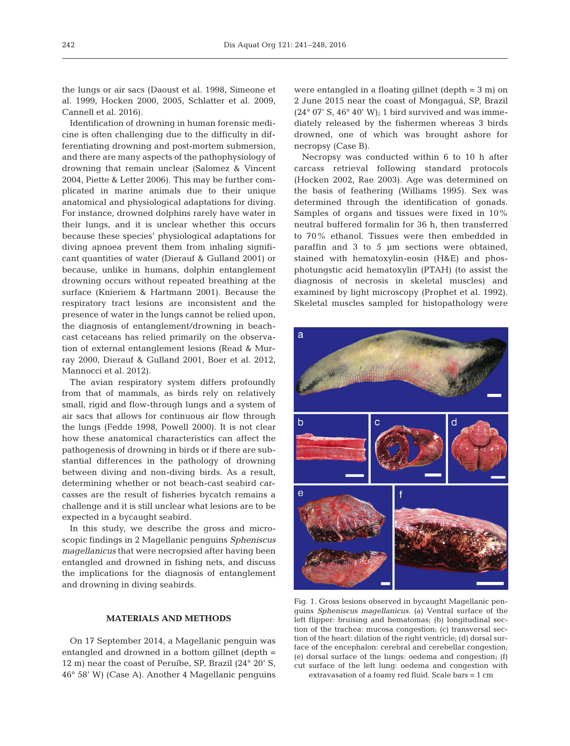the lungs or air sacs (Daoust et al. 1998, Simeone et al. 1999, Hocken 2000, 2005, Schlatter et al. 2009, Cannell et al. 2016).

Identification of drowning in human forensic medicine is often challenging due to the difficulty in differentiating drowning and post-mortem submersion, and there are many aspects of the pathophysiology of drowning that remain unclear (Salomez & Vincent 2004, Piette & Letter 2006). This may be further complicated in marine animals due to their unique anatomical and physiological adaptations for diving. For instance, drowned dolphins rarely have water in their lungs, and it is unclear whether this occurs because these species' physiological adaptations for diving apnoea prevent them from inhaling significant quantities of water (Dierauf & Gulland 2001) or because, unlike in humans, dolphin entanglement drowning occurs without repeated breathing at the surface (Knieriem & Hartmann 2001). Because the respiratory tract lesions are inconsistent and the presence of water in the lungs cannot be relied upon, the diagnosis of entanglement/drowning in beachcast cetaceans has relied primarily on the observation of external entanglement lesions (Read & Murray 2000, Dierauf & Gulland 2001, Boer et al. 2012, Mannocci et al. 2012).

The avian respiratory system differs profoundly from that of mammals, as birds rely on relatively small, rigid and flow-through lungs and a system of air sacs that allows for continuous air flow through the lungs (Fedde 1998, Powell 2000). It is not clear how these anatomical characteristics can affect the pathogenesis of drowning in birds or if there are substantial differences in the pathology of drowning between diving and non-diving birds. As a result, determining whether or not beach-cast seabird carcasses are the result of fisheries bycatch remains a challenge and it is still unclear what lesions are to be expected in a bycaught seabird.

In this study, we describe the gross and microscopic findings in 2 Magellanic penguins *Spheniscus magellanicus* that were necropsied after having been entangled and drowned in fishing nets, and discuss the implications for the diagnosis of entanglement and drowning in diving seabirds.

## **MATERIALS AND METHODS**

On 17 September 2014, a Magellanic penguin was entangled and drowned in a bottom gillnet (depth = 12 m) near the coast of Peruíbe, SP, Brazil (24° 20' S, 46° 58' W) (Case A). Another 4 Magellanic penguins

were entangled in a floating gillnet (depth = 3 m) on 2 June 2015 near the coast of Mongaguá, SP, Brazil  $(24^{\circ}$  07' S,  $46^{\circ}$  40' W); 1 bird survived and was immediately released by the fishermen whereas 3 birds drowned, one of which was brought ashore for necropsy (Case B).

Necropsy was conducted within 6 to 10 h after carcass retrieval following standard protocols (Hocken 2002, Rae 2003). Age was determined on the basis of feathering (Williams 1995). Sex was determined through the identification of gonads. Samples of organs and tissues were fixed in 10% neutral buffered formalin for 36 h, then transferred to 70% ethanol. Tissues were then embedded in paraffin and 3 to 5 µm sections were obtained, stained with hematoxylin-eosin (H&E) and phosphotungstic acid hematoxylin (PTAH) (to assist the diagnosis of necrosis in skeletal muscles) and examined by light microscopy (Prophet et al. 1992). Skeletal muscles sampled for histopathology were



Fig. 1. Gross lesions observed in bycaught Magellanic penguins *Spheniscus magellanicus*. (a) Ventral surface of the left flipper: bruising and hematomas; (b) longitudinal section of the trachea: mucosa congestion; (c) transversal section of the heart: dilation of the right ventricle; (d) dorsal surface of the encephalon: cerebral and cerebellar congestion; (e) dorsal surface of the lungs: oedema and congestion; (f) cut surface of the left lung: oedema and congestion with extravasation of a foamy red fluid. Scale bars = 1 cm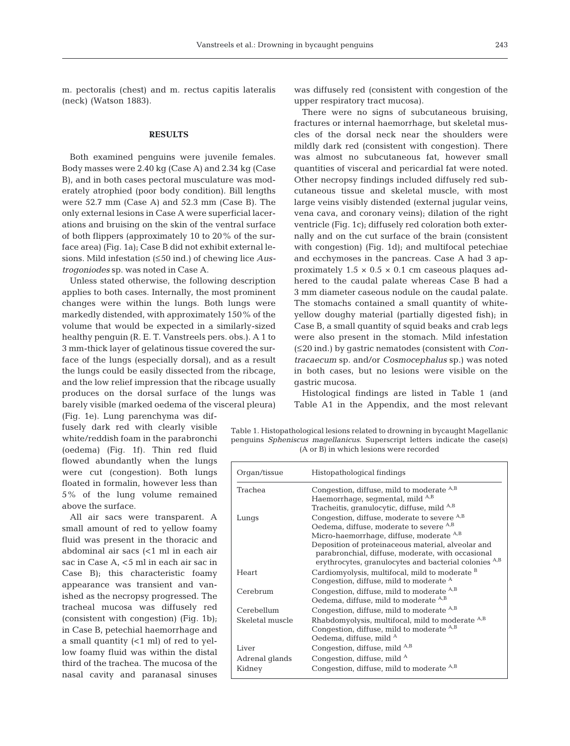m. pectoralis (chest) and m. rectus capitis lateralis (neck) (Watson 1883).

### **RESULTS**

Both examined penguins were juvenile females. Body masses were 2.40 kg (Case A) and 2.34 kg (Case B), and in both cases pectoral musculature was moderately atrophied (poor body condition). Bill lengths were 52.7 mm (Case A) and 52.3 mm (Case B). The only external lesions in Case A were superficial lacerations and bruising on the skin of the ventral surface of both flippers (approximately 10 to 20% of the surface area) (Fig. 1a); Case B did not exhibit external lesions. Mild infestation (≤50 ind.) of chewing lice *Austrogoniodes* sp. was noted in Case A.

Unless stated otherwise, the following description applies to both cases. Internally, the most prominent changes were within the lungs. Both lungs were markedly distended, with approximately 150% of the volume that would be expected in a similarly-sized healthy penguin (R. E. T. Vanstreels pers. obs.). A 1 to 3 mm-thick layer of gelatinous tissue covered the surface of the lungs (especially dorsal), and as a result the lungs could be easily dissected from the ribcage, and the low relief impression that the ribcage usually produces on the dorsal surface of the lungs was barely visible (marked oe dema of the visceral pleura)

(Fig. 1e). Lung parenchyma was diffusely dark red with clearly visible white/reddish foam in the parabronchi (oedema) (Fig. 1f). Thin red fluid flowed abundantly when the lungs were cut (congestion). Both lungs floated in formalin, however less than 5% of the lung volume remained above the surface.

All air sacs were transparent. A small amount of red to yellow foamy fluid was present in the thoracic and abdominal air sacs (<1 ml in each air sac in Case A, <5 ml in each air sac in Case B); this characteristic foamy appearance was transient and vanished as the necropsy progressed. The tracheal mucosa was diffusely red (consistent with congestion) (Fig. 1b); in Case B, petechial haemorrhage and a small quantity (<1 ml) of red to yellow foamy fluid was within the distal third of the trachea. The mucosa of the nasal cavity and paranasal sinuses

was diffusely red (consistent with congestion of the upper respiratory tract mucosa).

There were no signs of subcutaneous bruising, fractures or internal haemorrhage, but skeletal muscles of the dorsal neck near the shoulders were mildly dark red (consistent with congestion). There was almost no subcutaneous fat, however small quantities of visceral and pericardial fat were noted. Other necropsy findings included diffusely red subcutaneous tissue and skeletal muscle, with most large veins visibly distended (external jugular veins, vena cava, and coronary veins); dilation of the right ventricle (Fig. 1c); diffusely red coloration both externally and on the cut surface of the brain (consistent with congestion) (Fig. 1d); and multifocal petechiae and ecchymoses in the pancreas. Case A had 3 approximately  $1.5 \times 0.5 \times 0.1$  cm caseous plaques adhered to the caudal palate whereas Case B had a 3 mm diameter caseous nodule on the caudal palate. The stomachs contained a small quantity of whiteyellow doughy material (partially digested fish); in Case B, a small quantity of squid beaks and crab legs were also present in the stomach. Mild infestation (≤20 ind.) by gastric nematodes (consistent with *Contracaecum* sp. and/or *Cosmocephalus* sp.) was noted in both cases, but no lesions were visible on the gastric mucosa.

Histological findings are listed in Table 1 (and Table A1 in the Appendix, and the most relevant

Table 1. Histopathological lesions related to drowning in bycaught Magellanic penguins *Spheniscus magellanicus*. Superscript letters indicate the case(s) (A or B) in which lesions were recorded

| Organ/tissue    | Histopathological findings                                                                                                                                                                                                                                                                                                   |
|-----------------|------------------------------------------------------------------------------------------------------------------------------------------------------------------------------------------------------------------------------------------------------------------------------------------------------------------------------|
| Trachea         | Congestion, diffuse, mild to moderate A,B<br>Haemorrhage, segmental, mild <sup>A,B</sup><br>Tracheitis, granulocytic, diffuse, mild A,B                                                                                                                                                                                      |
| Lungs           | Congestion, diffuse, moderate to severe A,B<br>Oedema, diffuse, moderate to severe <sup>A,B</sup><br>Micro-haemorrhage, diffuse, moderate <sup>A,B</sup><br>Deposition of proteinaceous material, alveolar and<br>parabronchial, diffuse, moderate, with occasional<br>erythrocytes, granulocytes and bacterial colonies A,B |
| Heart           | Cardiomyolysis, multifocal, mild to moderate <sup>B</sup><br>Congestion, diffuse, mild to moderate <sup>A</sup>                                                                                                                                                                                                              |
| Cerebrum        | Congestion, diffuse, mild to moderate <sup>A,B</sup><br>Oedema, diffuse, mild to moderate A,B                                                                                                                                                                                                                                |
| Cerebellum      | Congestion, diffuse, mild to moderate <sup>A,B</sup>                                                                                                                                                                                                                                                                         |
| Skeletal muscle | Rhabdomyolysis, multifocal, mild to moderate <sup>A,B</sup><br>Congestion, diffuse, mild to moderate $A,B$<br>Oedema, diffuse, mild <sup>A</sup>                                                                                                                                                                             |
| Liver           | Congestion, diffuse, mild <sup>A,B</sup>                                                                                                                                                                                                                                                                                     |
| Adrenal glands  | Congestion, diffuse, mild <sup>A</sup>                                                                                                                                                                                                                                                                                       |
| Kidney          | Congestion, diffuse, mild to moderate <sup>A,B</sup>                                                                                                                                                                                                                                                                         |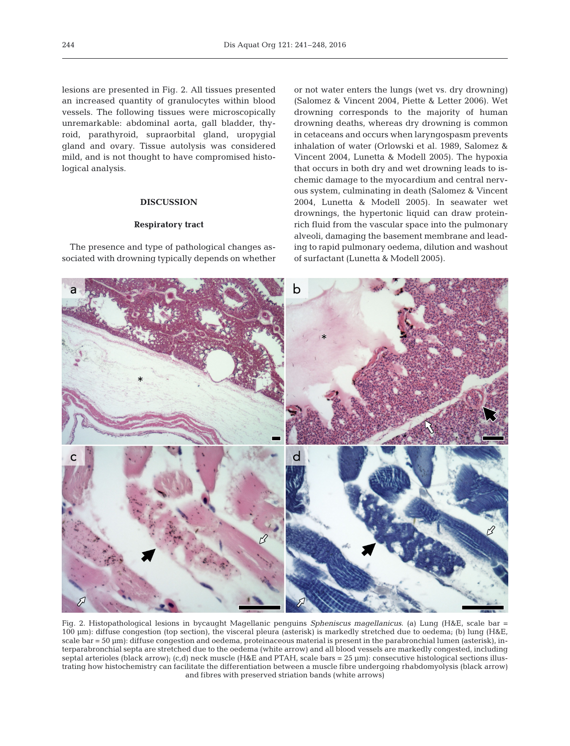lesions are presented in Fig. 2. All tissues presented an increased quantity of granulocytes within blood vessels. The following tissues were microscopically unremarkable: abdominal aorta, gall bladder, thyroid, parathyroid, supraorbital gland, uropygial gland and ovary. Tissue autolysis was considered mild, and is not thought to have compromised histological analysis.

## **DISCUSSION**

## **Respiratory tract**

The presence and type of pathological changes associated with drowning typically depends on whether

or not water enters the lungs (wet vs. dry drowning) (Salomez & Vincent 2004, Piette & Letter 2006). Wet drowning corresponds to the majority of human drowning deaths, whereas dry drowning is common in cetaceans and occurs when laryngospasm prevents inhalation of water (Orlowski et al. 1989, Salomez & Vincent 2004, Lunetta & Modell 2005). The hypoxia that occurs in both dry and wet drowning leads to ischemic damage to the myocardium and central nervous system, culminating in death (Salomez & Vincent 2004, Lunetta & Modell 2005). In seawater wet drownings, the hypertonic liquid can draw proteinrich fluid from the vascular space into the pulmonary alveoli, damaging the basement membrane and leading to rapid pulmonary oedema, dilution and washout of surfactant (Lunetta & Modell 2005).



Fig. 2. Histopathological lesions in bycaught Magellanic penguins *Spheniscus magellanicus*. (a) Lung (H&E, scale bar = 100 µm): diffuse congestion (top section), the visceral pleura (asterisk) is markedly stretched due to oedema; (b) lung (H&E, scale bar = 50 µm): diffuse congestion and oedema, proteinaceous material is present in the parabronchial lumen (asterisk), interparabronchial septa are stretched due to the oedema (white arrow) and all blood vessels are markedly congested, including septal arterioles (black arrow); (c,d) neck muscle (H&E and PTAH, scale bars = 25 µm): consecutive histological sections illustrating how histochemistry can facilitate the differentiation between a muscle fibre undergoing rhabdomyolysis (black arrow) and fibres with preserved striation bands (white arrows)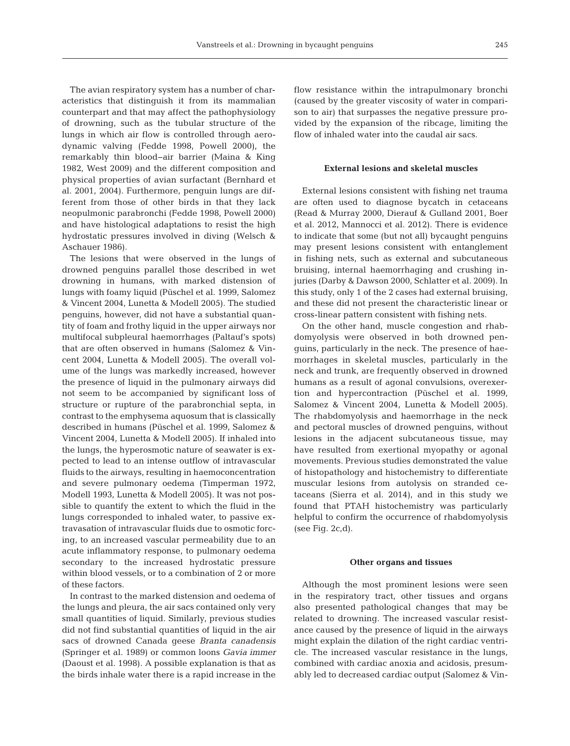The avian respiratory system has a number of characteristics that distinguish it from its mammalian counterpart and that may affect the pathophysiology of drowning, such as the tubular structure of the lungs in which air flow is controlled through aerodynamic valving (Fedde 1998, Powell 2000), the remarkably thin blood−air barrier (Maina & King 1982, West 2009) and the different composition and physical properties of avian surfactant (Bernhard et al. 2001, 2004). Furthermore, penguin lungs are different from those of other birds in that they lack neopulmonic parabronchi (Fedde 1998, Powell 2000) and have histological adaptations to resist the high hydrostatic pressures involved in diving (Welsch & Aschauer 1986).

The lesions that were observed in the lungs of drowned penguins parallel those described in wet drowning in humans, with marked distension of lungs with foamy liquid (Püschel et al. 1999, Salomez & Vincent 2004, Lunetta & Modell 2005). The studied penguins, however, did not have a substantial quantity of foam and frothy liquid in the upper airways nor multifocal subpleural haemorrhages (Paltauf's spots) that are often observed in humans (Salomez & Vincent 2004, Lunetta & Modell 2005). The overall volume of the lungs was markedly increased, however the presence of liquid in the pulmonary airways did not seem to be accompanied by significant loss of structure or rupture of the parabronchial septa, in contrast to the emphysema aquosum that is classically described in humans (Püschel et al. 1999, Salomez & Vincent 2004, Lunetta & Modell 2005). If inhaled into the lungs, the hyperosmotic nature of seawater is expected to lead to an intense outflow of intravascular fluids to the airways, resulting in haemoconcentration and severe pulmonary oedema (Timperman 1972, Modell 1993, Lunetta & Modell 2005). It was not possible to quantify the extent to which the fluid in the lungs corresponded to inhaled water, to passive extravasation of intravascular fluids due to osmotic forcing, to an increased vascular permeability due to an acute inflammatory response, to pulmonary oedema secondary to the increased hydrostatic pressure within blood vessels, or to a combination of 2 or more of these factors.

In contrast to the marked distension and oedema of the lungs and pleura, the air sacs contained only very small quantities of liquid. Similarly, previous studies did not find substantial quantities of liquid in the air sacs of drowned Canada geese *Branta canadensis* (Springer et al. 1989) or common loons *Gavia immer* (Daoust et al. 1998). A possible explanation is that as the birds inhale water there is a rapid increase in the

flow resistance within the intrapulmonary bronchi (caused by the greater viscosity of water in comparison to air) that surpasses the negative pressure provided by the expansion of the ribcage, limiting the flow of inhaled water into the caudal air sacs.

### **External lesions and skeletal muscles**

External lesions consistent with fishing net trauma are often used to diagnose bycatch in cetaceans (Read & Murray 2000, Dierauf & Gulland 2001, Boer et al. 2012, Mannocci et al. 2012). There is evidence to indicate that some (but not all) bycaught penguins may present lesions consistent with entanglement in fishing nets, such as external and subcutaneous bruising, internal haemorrhaging and crushing injuries (Darby & Dawson 2000, Schlatter et al. 2009). In this study, only 1 of the 2 cases had external bruising, and these did not present the characteristic linear or cross-linear pattern consistent with fishing nets.

On the other hand, muscle congestion and rhabdomyolysis were observed in both drowned penguins, particularly in the neck. The presence of hae morrhages in skeletal muscles, particularly in the neck and trunk, are frequently observed in drowned humans as a result of agonal convulsions, overexertion and hypercontraction (Püschel et al. 1999, Salomez & Vincent 2004, Lunetta & Modell 2005). The rhabdomyolysis and haemorrhage in the neck and pectoral muscles of drowned penguins, without lesions in the adjacent subcutaneous tissue, may have resulted from exertional myopathy or agonal movements. Previous studies demonstrated the value of histopathology and histochemistry to differentiate muscular lesions from autolysis on stranded cetaceans (Sierra et al. 2014), and in this study we found that PTAH histochemistry was particularly helpful to confirm the occurrence of rhabdomyolysis (see Fig.  $2c,d$ ).

#### **Other organs and tissues**

Although the most prominent lesions were seen in the respiratory tract, other tissues and organs also presented pathological changes that may be related to drowning. The increased vascular resistance caused by the presence of liquid in the airways might explain the dilation of the right cardiac ventricle. The increased vascular resistance in the lungs, combined with cardiac anoxia and acidosis, presumably led to decreased cardiac output (Salomez & Vin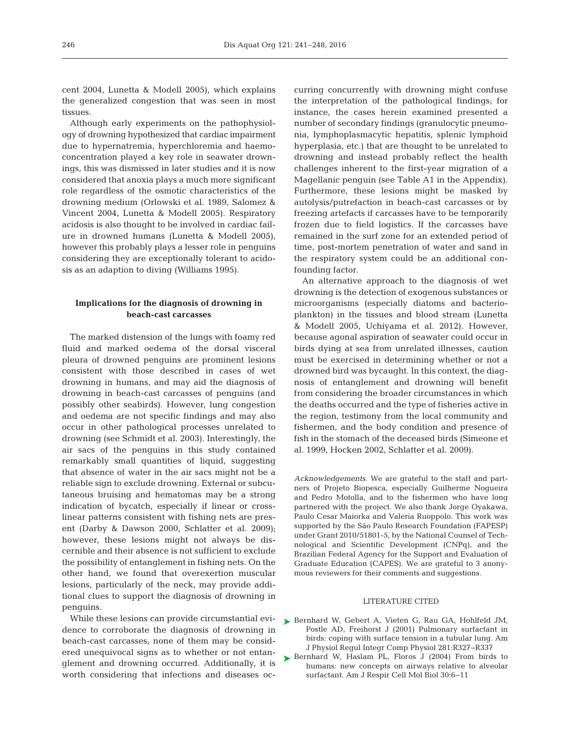cent 2004, Lunetta & Modell 2005), which explains the generalized congestion that was seen in most tissues.

Although early experiments on the pathophysiology of drowning hypothesized that cardiac impairment due to hypernatremia, hyperchloremia and haemoconcentration played a key role in seawater drownings, this was dismissed in later studies and it is now considered that anoxia plays a much more significant role regardless of the osmotic characteristics of the drowning medium (Orlowski et al. 1989, Salomez & Vincent 2004, Lunetta & Modell 2005). Respiratory acidosis is also thought to be involved in cardiac failure in drowned humans (Lunetta & Modell 2005), however this probably plays a lesser role in penguins considering they are exceptionally tolerant to acidosis as an adaption to diving (Williams 1995).

## **Implications for the diagnosis of drowning in beach-cast carcasses**

The marked distension of the lungs with foamy red fluid and marked oedema of the dorsal visceral pleura of drowned penguins are prominent lesions consistent with those described in cases of wet drowning in humans, and may aid the diagnosis of drowning in beach-cast carcasses of penguins (and possibly other seabirds). However, lung congestion and oedema are not specific findings and may also occur in other pathological processes unrelated to drowning (see Schmidt et al. 2003). Interestingly, the air sacs of the penguins in this study contained remarkably small quantities of liquid, suggesting that absence of water in the air sacs might not be a reliable sign to exclude drowning. External or subcutaneous bruising and hematomas may be a strong indication of bycatch, especially if linear or crosslinear patterns consistent with fishing nets are present (Darby & Dawson 2000, Schlatter et al. 2009); however, these lesions might not always be discernible and their absence is not sufficient to exclude the possibility of entanglement in fishing nets. On the other hand, we found that overexertion muscular lesions, particularly of the neck, may provide additional clues to support the diagnosis of drowning in penguins.

While these lesions can provide circumstantial evidence to corroborate the diagnosis of drowning in beach-cast carcasses, none of them may be considered unequivocal signs as to whether or not entanglement and drowning occurred. Additionally, it is worth considering that infections and diseases oc -

curring concurrently with drowning might confuse the interpretation of the pathological findings; for instance, the cases herein examined presented a number of secondary findings (granulocytic pneumonia, lymphoplasmacytic hepatitis, splenic lymphoid hyperplasia, etc.) that are thought to be unrelated to drowning and instead probably reflect the health challenges inherent to the first-year migration of a Magellanic penguin (see Table A1 in the Appendix). Furthermore, these lesions might be masked by autolysis/putrefaction in beach-cast carcasses or by freezing artefacts if carcasses have to be temporarily frozen due to field logistics. If the carcasses have remained in the surf zone for an extended period of time, post-mortem penetration of water and sand in the respiratory system could be an additional confounding factor.

An alternative approach to the diagnosis of wet drowning is the detection of exogenous substances or microorganisms (especially diatoms and bacterioplankton) in the tissues and blood stream (Lunetta & Modell 2005, Uchiyama et al. 2012). However, because agonal aspiration of seawater could occur in birds dying at sea from unrelated illnesses, caution must be exercised in determining whether or not a drowned bird was bycaught. In this context, the diagnosis of entanglement and drowning will benefit from considering the broader circumstances in which the deaths occurred and the type of fisheries active in the region, testimony from the local community and fishermen, and the body condition and presence of fish in the stomach of the deceased birds (Simeone et al. 1999, Hocken 2002, Schlatter et al. 2009).

*Acknowledgements.* We are grateful to the staff and partners of Projeto Biopesca, especially Guilherme Nogueira and Pedro Motolla, and to the fishermen who have long partnered with the project. We also thank Jorge Oyakawa, Paulo Cesar Maiorka and Valeria Ruoppolo. This work was supported by the São Paulo Research Foundation (FAPESP) under Grant 2010/51801-5, by the National Counsel of Technological and Scientific Development (CNPq), and the Brazilian Federal Agency for the Support and Evaluation of Graduate Education (CAPES). We are grateful to 3 anonymous reviewers for their comments and suggestions.

#### LITERATURE CITED

- ▶ [Bernhard W, Gebert A, Vieten G, Rau GA, Hohlfeld JM,](http://www.ncbi.nlm.nih.gov/entrez/query.fcgi?cmd=Retrieve&db=PubMed&list_uids=11404309&dopt=Abstract) Postle AD, Freihorst J (2001) Pulmonary surfactant in birds: coping with surface tension in a tubular lung. Am J Physiol Regul Integr Comp Physiol 281:R327-R337
- ▶ [Bernhard W, Haslam PL, Floros J \(2004\) From birds to](http://dx.doi.org/10.1165/rcmb.2003-0158TR) humans: new concepts on airways relative to alveolar surfactant. Am J Respir Cell Mol Biol 30:6-11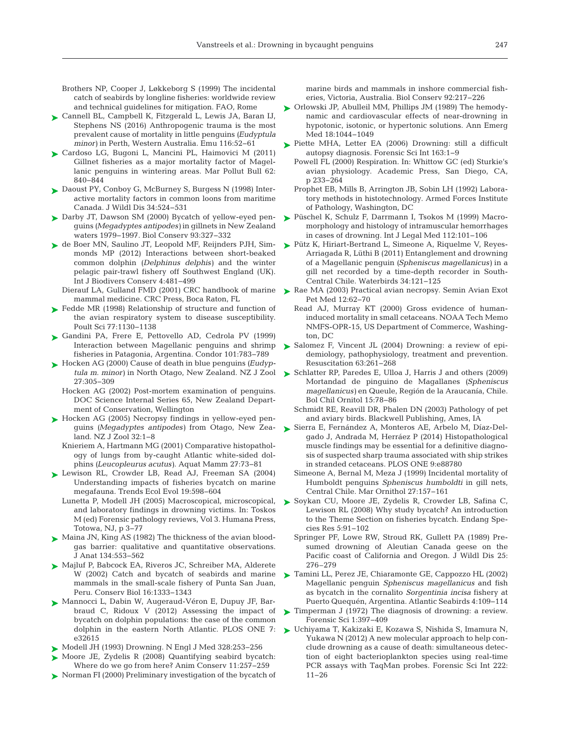Brothers NP, Cooper J, Løkkeborg S (1999) The incidental catch of seabirds by longline fisheries: worldwide review and technical guidelines for mitigation. FAO, Rome

- ► [Cannell BL, Campbell K, Fitzgerald L, Lewis JA, Baran IJ,](http://dx.doi.org/10.1071/MU15039) Stephens NS (2016) Anthropogenic trauma is the most prevalent cause of mortality in little penguins *(Eudyptula minor*) in Perth, Western Australia. Emu 116:52-61
- [Cardoso LG, Bugoni L, Mancini PL, Haimovici M \(2011\)](http://dx.doi.org/10.1016/j.marpolbul.2011.01.033) ➤ Gillnet fisheries as a major mortality factor of Magellanic penguins in wintering areas. Mar Pollut Bull 62: 840−844
- ► [Daoust PY, Conboy G, McBurney S, Burgess N \(1998\) Inter](http://dx.doi.org/10.7589/0090-3558-34.3.524)active mortality factors in common loons from maritime Canada. J Wildl Dis 34:524-531
- ► [Darby JT, Dawson SM \(2000\) Bycatch of yellow-eyed pen](http://dx.doi.org/10.1016/S0006-3207(99)00148-2)guins *(Megadyptes antipodes)* in gillnets in New Zealand waters 1979−1997. Biol Conserv 93: 327−332
- [de Boer MN, Saulino JT, Leopold MF, Reijnders PJH, Sim-](http://dx.doi.org/10.5897/IJBC12.016)➤ monds MP (2012) Interactions between short-beaked common dolphin *(Delphinus delphis)* and the winter pelagic pair-trawl fishery off Southwest England (UK). Int J Biodivers Conserv 4: 481−499
	- Dierauf LA, Gulland FMD (2001) CRC handbook of marine mammal medicine. CRC Press, Boca Raton, FL
- ► [Fedde MR \(1998\) Relationship of structure and function of](http://dx.doi.org/10.1093/ps/77.8.1130) the avian respiratory system to disease susceptibility. Poult Sci 77: 1130−1138
- [Gandini PA, Frere E, Pettovello AD, Cedrola PV \(1999\)](http://dx.doi.org/10.2307/1370065) ➤ Interaction between Magellanic penguins and shrimp fisheries in Patagonia, Argentina. Condor 101: 783−789
- [Hocken AG \(2000\) Cause of death in blue penguins](http://dx.doi.org/10.1080/03014223.2000.9518239) *(Eudyp-*➤ *tula m. minor)* in North Otago, New Zealand. NZ J Zool 27: 305−309
	- Hocken AG (2002) Post-mortem examination of penguins. DOC Science Internal Series 65, New Zealand Department of Conservation, Wellington
- ► [Hocken AG \(2005\) Necropsy findings in yellow-eyed pen](http://dx.doi.org/10.1080/03014223.2005.9518391)guins *(Megadyptes antipodes)* from Otago, New Zea land. NZ J Zool 32:1-8
	- Knieriem A, Hartmann MG (2001) Comparative histopathology of lungs from by-caught Atlantic white-sided dolphins *(Leucopleurus acutus)*. Aquat Mamm 27:73-81
- ▶ [Lewison RL, Crowder LB, Read AJ, Freeman SA \(2004\)](http://dx.doi.org/10.1016/j.tree.2004.09.004) Understanding impacts of fisheries bycatch on marine megafauna. Trends Ecol Evol 19:598-604
	- Lunetta P, Modell JH (2005) Macroscopical, microscopical, and laboratory findings in drowning victims. In: Toskos M (ed) Forensic pathology reviews, Vol 3. Humana Press, Totowa, NJ, p 3−77
- ► [Maina JN, King AS \(1982\) The thickness of the avian blood](http://www.ncbi.nlm.nih.gov/entrez/query.fcgi?cmd=Retrieve&db=PubMed&list_uids=7107515&dopt=Abstract)gas barrier: qualitative and quantitative observations. J Anat 134:553-562
- ► [Majluf P, Babcock EA, Riveros JC, Schreiber MA, Alderete](http://dx.doi.org/10.1046/j.1523-1739.2002.00564.x) W (2002) Catch and bycatch of seabirds and marine mammals in the small-scale fishery of Punta San Juan, Peru. Conserv Biol 16: 1333−1343
- ► [Mannocci L, Dabin W, Augeraud-Véron E, Dupuy JF, Bar](http://dx.doi.org/10.1371/journal.pone.0032615)braud C, Ridoux V (2012) Assessing the impact of bycatch on dolphin populations: the case of the common dolphin in the eastern North Atlantic. PLOS ONE 7: e32615
- ► Modell JH (1993) Drowning. N Engl J Med 328:253-256
- ▶ Moore JE, Zydelis R (2008) Quantifying seabird bycatch: Where do we go from here? Anim Conserv 11:257-259
- ▶ [Norman FI \(2000\) Preliminary investigation of the bycatch of](http://dx.doi.org/10.1016/S0006-3207(99)00055-5)

marine birds and mammals in inshore commercial fisheries, Victoria, Australia. Biol Conserv 92:217−226

- [Orlowski JP, Abulleil MM, Phillips JM \(1989\) The hemody-](http://dx.doi.org/10.1016/S0196-0644(89)80927-8)➤ namic and cardiovascular effects of near-drowning in hypotonic, isotonic, or hypertonic solutions. Ann Emerg Med 18:1044-1049
- $\blacktriangleright$  Piette MHA, Letter EA (2006) Drowning: still a difficult autopsy diagnosis. Forensic Sci Int 163: 1−9
	- Powell FL (2000) Respiration. In:Whittow GC (ed) Sturkie's avian physiology. Academic Press, San Diego, CA, p 233−264
	- Prophet EB, Mills B, Arrington JB, Sobin LH (1992) Laboratory methods in histotechnology. Armed Forces Institute of Pathology, Washington, DC
- [Püschel K, Schulz F, Darrmann I, Tsokos M \(1999\) Macro-](http://dx.doi.org/10.1007/s004140050210)➤ morphology and histology of intramuscular hemorrhages in cases of drowning. Int J Legal Med 112: 101−106
- ► [Pütz K, Hiriart-Bertrand L, Simeone A, Riquelme V, Reyes-](http://dx.doi.org/10.1675/063.034.0117)Arriagada R, Lüthi B (2011) Entanglement and drowning of a Magellanic penguin *(Spheniscus magellanicus)* in a gill net recorded by a time-depth recorder in South-Central Chile. Waterbirds 34: 121−125
- ▶ [Rae MA \(2003\) Practical avian necropsy. Semin Avian Exot](http://dx.doi.org/10.1053/S1055-937X(03)80003-8) Pet Med 12:62-70
	- Read AJ, Murray KT (2000) Gross evidence of humaninduced mortality in small cetaceans. NOAA Tech Memo NMFS-OPR-15, US Department of Commerce, Washington, DC
- ► Salomez F, Vincent JL (2004) Drowning: a review of epidemiology, pathophysiology, treatment and prevention. Resuscitation 63: 261−268
- ► [Schlatter RP, Paredes E, Ulloa J, Harris J and others \(2009\)](http://aveschile.cl/boletin/PDF/15.2/03.pdf) Mortandad de pinguino de Magallanes *(Spheniscus magellanicus)* en Queule, Región de la Araucanía, Chile. Bol Chil Ornitol 15:78-86
	- Schmidt RE, Reavill DR, Phalen DN (2003) Pathology of pet and aviary birds. Blackwell Publishing, Ames, IA
- [Sierra E, Fernández A, Monteros AE, Arbelo M, Díaz-Del-](http://dx.doi.org/10.1371/journal.pone.0088780)➤ gado J, Andrada M, Herráez P (2014) Histopathological muscle findings may be essential for a definitive diagnosis of suspected sharp trauma associated with ship strikes in stranded cetaceans. PLOS ONE 9:e88780
	- Simeone A, Bernal M, Meza J (1999) Incidental mortality of Humboldt penguins *Spheniscus humboldti* in gill nets, Central Chile. Mar Ornithol 27: 157−161
- ▶ [Soykan CU, Moore JE, Zydelis R, Crowder LB, Safina C,](http://dx.doi.org/10.3354/esr00175) Lewison RL (2008) Why study bycatch? An introduction to the Theme Section on fisheries bycatch. Endang Species Res 5: 91−102
	- Springer PF, Lowe RW, Stroud RK, Gullett PA (1989) Presumed drowning of Aleutian Canada geese on the Pacific coast of California and Oregon. J Wildl Dis 25: 276–279
- [Tamini LL, Perez JE, Chiaramonte GE, Cappozzo HL \(2002\)](http://natuurtijdschriften.nl/download?type=document;docid=546147) ➤ Magellanic penguin *Spheniscus magellanicus* and fish as bycatch in the cornalito *Sorgentinia incisa* fishery at Puerto Quequén, Argentina. Atlantic Seabirds 4: 109−114
- ▶ Timperman J (1972) The diagnosis of drowning: a review. Forensic Sci 1: 397−409
- [Uchiyama T, Kakizaki E, Kozawa S, Nishida S, Imamura N,](http://dx.doi.org/10.1016/j.forsciint.2012.04.029) ➤ Yukawa N (2012) A new molecular approach to help conclude drowning as a cause of death: simultaneous detection of eight bacterioplankton species using real-time PCR assays with TaqMan probes. Forensic Sci Int 222: 11−26